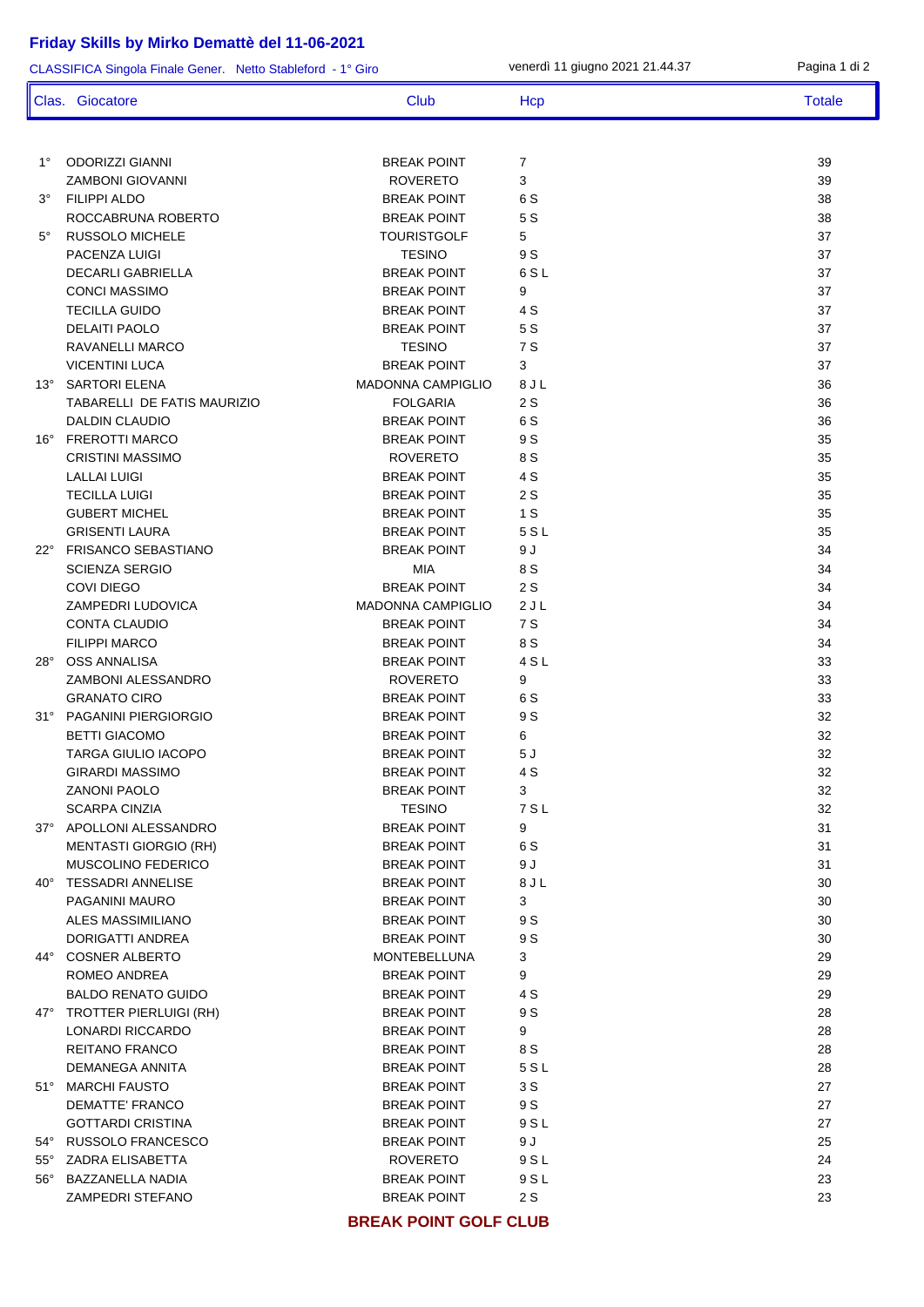## **Friday Skills by Mirko Demattè del 11-06-2021**

CLASSIFICA Singola Finale Gener. Netto Stableford - 1° Giro venerdì 11 giugno 2021 21.44.37 Pagina 1 di 2 Clas. Giocatore Club Hcp Totale

|              |                                           |                                          | . . <b>.</b> .  |          |  |
|--------------|-------------------------------------------|------------------------------------------|-----------------|----------|--|
|              |                                           |                                          |                 |          |  |
| $1^{\circ}$  | <b>ODORIZZI GIANNI</b>                    | <b>BREAK POINT</b>                       | 7               | 39       |  |
|              | <b>ZAMBONI GIOVANNI</b>                   | <b>ROVERETO</b>                          | 3               | 39       |  |
| $3^{\circ}$  | <b>FILIPPI ALDO</b>                       | <b>BREAK POINT</b>                       | 6 S             | 38       |  |
|              | ROCCABRUNA ROBERTO                        | <b>BREAK POINT</b>                       | 5 S             | 38       |  |
| $5^{\circ}$  | <b>RUSSOLO MICHELE</b>                    | <b>TOURISTGOLF</b>                       | 5               | 37       |  |
|              | PACENZA LUIGI                             | <b>TESINO</b>                            | 9 S             | 37       |  |
|              | <b>DECARLI GABRIELLA</b>                  | <b>BREAK POINT</b>                       | 6 S L           | 37       |  |
|              | <b>CONCI MASSIMO</b>                      | <b>BREAK POINT</b>                       | 9               | 37       |  |
|              | <b>TECILLA GUIDO</b>                      | <b>BREAK POINT</b>                       | 4 S             | 37       |  |
|              | <b>DELAITI PAOLO</b>                      | <b>BREAK POINT</b>                       | 5 S             | 37       |  |
|              | RAVANELLI MARCO                           | <b>TESINO</b>                            | 7 S             | 37       |  |
|              | <b>VICENTINI LUCA</b>                     | <b>BREAK POINT</b>                       | 3               | 37       |  |
|              | 13° SARTORI ELENA                         | <b>MADONNA CAMPIGLIO</b>                 | 8JL             | 36       |  |
|              | TABARELLI DE FATIS MAURIZIO               | <b>FOLGARIA</b>                          | 2 S             | 36       |  |
|              | <b>DALDIN CLAUDIO</b>                     | <b>BREAK POINT</b>                       | 6 S             | 36       |  |
|              | 16° FREROTTI MARCO                        | <b>BREAK POINT</b>                       | 9 S             | 35       |  |
|              | <b>CRISTINI MASSIMO</b>                   | <b>ROVERETO</b>                          | 8 S             | 35       |  |
|              | <b>LALLAI LUIGI</b>                       | <b>BREAK POINT</b>                       | 4 S             | 35       |  |
|              | <b>TECILLA LUIGI</b>                      | <b>BREAK POINT</b>                       | 2 S             | 35       |  |
|              | <b>GUBERT MICHEL</b>                      | <b>BREAK POINT</b>                       | 1S              | 35       |  |
|              | <b>GRISENTI LAURA</b>                     | <b>BREAK POINT</b>                       | 5 S L           | 35       |  |
|              | 22° FRISANCO SEBASTIANO                   | <b>BREAK POINT</b>                       | 9 J             | 34       |  |
|              | <b>SCIENZA SERGIO</b>                     | MIA                                      | 8 S             | 34       |  |
|              | <b>COVI DIEGO</b>                         | <b>BREAK POINT</b>                       | 2 S             | 34       |  |
|              | ZAMPEDRI LUDOVICA                         | <b>MADONNA CAMPIGLIO</b>                 | 2 J L           | 34       |  |
|              | <b>CONTA CLAUDIO</b>                      | <b>BREAK POINT</b>                       | 7 S             | 34       |  |
|              | <b>FILIPPI MARCO</b>                      | <b>BREAK POINT</b>                       | 8 S             | 34       |  |
|              | 28° OSS ANNALISA                          | <b>BREAK POINT</b>                       | 4S <sub>L</sub> | 33       |  |
|              | ZAMBONI ALESSANDRO                        | <b>ROVERETO</b>                          | 9               | 33       |  |
|              | <b>GRANATO CIRO</b>                       | <b>BREAK POINT</b>                       | 6 S             | 33       |  |
|              | 31° PAGANINI PIERGIORGIO                  | <b>BREAK POINT</b>                       | 9 S             | 32       |  |
|              | <b>BETTI GIACOMO</b>                      | <b>BREAK POINT</b>                       | 6               | 32       |  |
|              | <b>TARGA GIULIO IACOPO</b>                | <b>BREAK POINT</b>                       | 5 J             | 32       |  |
|              | <b>GIRARDI MASSIMO</b>                    | <b>BREAK POINT</b>                       | 4 S             | 32       |  |
|              | ZANONI PAOLO                              | <b>BREAK POINT</b>                       | 3               | 32       |  |
|              | <b>SCARPA CINZIA</b>                      | <b>TESINO</b>                            | 7 S L           | 32       |  |
|              | 37° APOLLONI ALESSANDRO                   | <b>BREAK POINT</b>                       | 9               | 31       |  |
|              | <b>MENTASTI GIORGIO (RH)</b>              | <b>BREAK POINT</b>                       | 6 S             | 31       |  |
|              | MUSCOLINO FEDERICO                        | <b>BREAK POINT</b>                       | 9 J             | 31       |  |
|              | 40° TESSADRI ANNELISE                     | <b>BREAK POINT</b>                       | 8 J L           | 30       |  |
|              | PAGANINI MAURO                            | <b>BREAK POINT</b>                       | 3               | 30       |  |
|              | ALES MASSIMILIANO                         | <b>BREAK POINT</b>                       | 9 S             | 30       |  |
|              | DORIGATTI ANDREA<br>44° COSNER ALBERTO    | <b>BREAK POINT</b>                       | 9 S             | 30       |  |
|              |                                           | <b>MONTEBELLUNA</b>                      | 3               | 29       |  |
|              | ROMEO ANDREA<br><b>BALDO RENATO GUIDO</b> | <b>BREAK POINT</b><br><b>BREAK POINT</b> | 9<br>4 S        | 29<br>29 |  |
|              | 47° TROTTER PIERLUIGI (RH)                | <b>BREAK POINT</b>                       | 9 S             |          |  |
|              | LONARDI RICCARDO                          | <b>BREAK POINT</b>                       | 9               | 28<br>28 |  |
|              | REITANO FRANCO                            | <b>BREAK POINT</b>                       | 8 S             | 28       |  |
|              | DEMANEGA ANNITA                           | <b>BREAK POINT</b>                       | 5 S L           | 28       |  |
|              | 51° MARCHI FAUSTO                         | <b>BREAK POINT</b>                       | 3 S             | 27       |  |
|              | DEMATTE' FRANCO                           | <b>BREAK POINT</b>                       | 9 S             | 27       |  |
|              | GOTTARDI CRISTINA                         | <b>BREAK POINT</b>                       | 9 S L           | 27       |  |
| 54°          | RUSSOLO FRANCESCO                         | <b>BREAK POINT</b>                       | 9 J             | 25       |  |
| $55^{\circ}$ | ZADRA ELISABETTA                          | <b>ROVERETO</b>                          | 9 S L           | 24       |  |
| $56^{\circ}$ | BAZZANELLA NADIA                          | <b>BREAK POINT</b>                       | 9 S L           | 23       |  |
|              | ZAMPEDRI STEFANO                          | <b>BREAK POINT</b>                       | 2 S             | 23       |  |
|              |                                           |                                          |                 |          |  |

## **BREAK POINT GOLF CLUB**